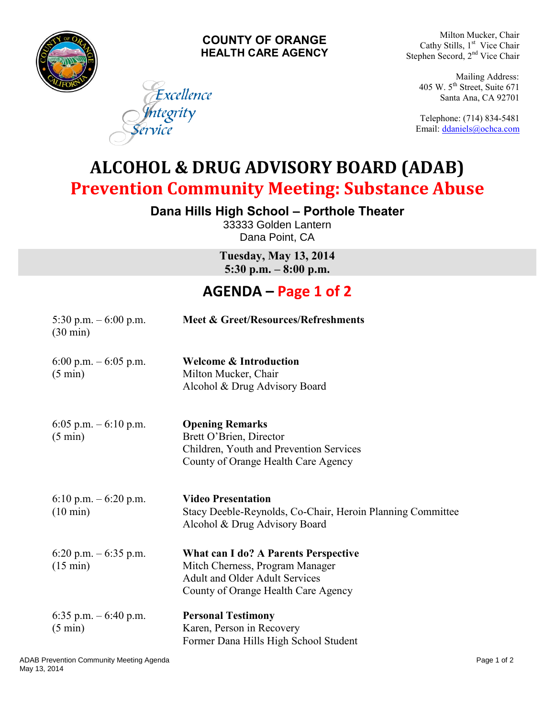

## **COUNTY OF ORANGE HEALTH CARE AGENCY**

Excellence

ntegrity

Milton Mucker, Chair Cathy Stills, 1<sup>st</sup> Vice Chair Stephen Secord, 2<sup>nd</sup> Vice Chair

Mailing Address: 405 W.  $5<sup>th</sup>$  Street, Suite 671 Santa Ana, CA 92701

Telephone: (714) 834-5481 Email: [ddaniels@ochca.com](mailto:ddaniels@ochca.com)

**ALCOHOL & DRUG ADVISORY BOARD (ADAB) Prevention Community Meeting: Substance Abuse** 

**Dana Hills High School – Porthole Theater** 

33333 Golden Lantern Dana Point, CA

**Tuesday, May 13, 2014 5:30 p.m. – 8:00 p.m.**

## **AGENDA – Page 1 of 2**

| 5:30 p.m. $-6:00$ p.m.<br>$(30 \text{ min})$   | Meet & Greet/Resources/Refreshments                                                                                                                     |
|------------------------------------------------|---------------------------------------------------------------------------------------------------------------------------------------------------------|
| 6:00 p.m. $-6:05$ p.m.<br>$(5 \text{ min})$    | <b>Welcome &amp; Introduction</b><br>Milton Mucker, Chair<br>Alcohol & Drug Advisory Board                                                              |
| 6:05 p.m. $-6:10$ p.m.<br>$(5 \text{ min})$    | <b>Opening Remarks</b><br>Brett O'Brien, Director<br>Children, Youth and Prevention Services<br>County of Orange Health Care Agency                     |
| $6:10$ p.m. $-6:20$ p.m.<br>$(10 \text{ min})$ | <b>Video Presentation</b><br>Stacy Deeble-Reynolds, Co-Chair, Heroin Planning Committee<br>Alcohol & Drug Advisory Board                                |
| 6:20 p.m. $-6:35$ p.m.<br>$(15 \text{ min})$   | What can I do? A Parents Perspective<br>Mitch Cherness, Program Manager<br><b>Adult and Older Adult Services</b><br>County of Orange Health Care Agency |
| 6:35 p.m. $-6:40$ p.m.<br>$(5 \text{ min})$    | <b>Personal Testimony</b><br>Karen, Person in Recovery<br>Former Dana Hills High School Student                                                         |